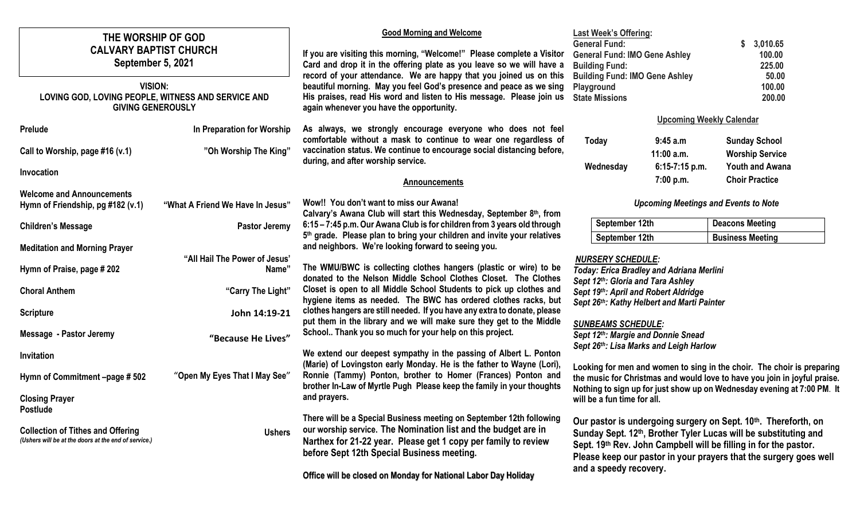| THE WORSHIP OF GOD<br><b>CALVARY BAPTIST CHURCH</b><br>September 5, 2021<br><b>VISION:</b><br>LOVING GOD, LOVING PEOPLE, WITNESS AND SERVICE AND<br><b>GIVING GENEROUSLY</b> |                                        | <b>Good Morning and Welcome</b><br>If you are visiting this morning, "Welcome!" Please complete a Visitor<br>Card and drop it in the offering plate as you leave so we will have a<br>record of your attendance. We are happy that you joined us on this<br>beautiful morning. May you feel God's presence and peace as we sing<br>His praises, read His word and listen to His message. Please join us<br>again whenever you have the opportunity. | <b>Last Week's Offering:</b><br><b>General Fund:</b><br><b>General Fund: IMO Gene Ashley</b><br><b>Building Fund:</b><br><b>Building Fund: IMO Gene Ashley</b><br>Playground<br><b>State Missions</b>                                                                                                             |                                 | 3,010.65<br>100.00<br>225.00<br>50.00<br>100.00<br>200.00 |
|------------------------------------------------------------------------------------------------------------------------------------------------------------------------------|----------------------------------------|-----------------------------------------------------------------------------------------------------------------------------------------------------------------------------------------------------------------------------------------------------------------------------------------------------------------------------------------------------------------------------------------------------------------------------------------------------|-------------------------------------------------------------------------------------------------------------------------------------------------------------------------------------------------------------------------------------------------------------------------------------------------------------------|---------------------------------|-----------------------------------------------------------|
| <b>Prelude</b>                                                                                                                                                               | In Preparation for Worship             | As always, we strongly encourage everyone who does not feel                                                                                                                                                                                                                                                                                                                                                                                         |                                                                                                                                                                                                                                                                                                                   | <b>Upcoming Weekly Calendar</b> |                                                           |
| Call to Worship, page #16 (v.1)                                                                                                                                              | "Oh Worship The King"                  | comfortable without a mask to continue to wear one regardless of<br>vaccination status. We continue to encourage social distancing before,<br>during, and after worship service.                                                                                                                                                                                                                                                                    | Today                                                                                                                                                                                                                                                                                                             | 9:45 a.m<br>$11:00$ a.m.        | <b>Sunday School</b><br><b>Worship Service</b>            |
| Invocation                                                                                                                                                                   |                                        | <b>Announcements</b>                                                                                                                                                                                                                                                                                                                                                                                                                                | Wednesday                                                                                                                                                                                                                                                                                                         | 6:15-7:15 p.m.<br>7:00 p.m.     | <b>Youth and Awana</b><br><b>Choir Practice</b>           |
| <b>Welcome and Announcements</b><br>Hymn of Friendship, pg #182 (v.1)                                                                                                        | "What A Friend We Have In Jesus"       | Wow!! You don't want to miss our Awana!<br>Calvary's Awana Club will start this Wednesday, September 8th, from                                                                                                                                                                                                                                                                                                                                      | <b>Upcoming Meetings and Events to Note</b>                                                                                                                                                                                                                                                                       |                                 |                                                           |
| <b>Children's Message</b>                                                                                                                                                    | Pastor Jeremy                          | 6:15 - 7:45 p.m. Our Awana Club is for children from 3 years old through<br>5 <sup>th</sup> grade. Please plan to bring your children and invite your relatives                                                                                                                                                                                                                                                                                     | September 12th<br>September 12th                                                                                                                                                                                                                                                                                  |                                 | <b>Deacons Meeting</b>                                    |
| <b>Meditation and Morning Prayer</b>                                                                                                                                         |                                        | and neighbors. We're looking forward to seeing you.                                                                                                                                                                                                                                                                                                                                                                                                 |                                                                                                                                                                                                                                                                                                                   |                                 | <b>Business Meeting</b>                                   |
| Hymn of Praise, page # 202                                                                                                                                                   | "All Hail The Power of Jesus"<br>Name" | <b>NURSERY SCHEDULE:</b><br>The WMU/BWC is collecting clothes hangers (plastic or wire) to be<br>Today: Erica Bradley and Adriana Merlini<br>donated to the Nelson Middle School Clothes Closet. The Clothes<br>Sept 12th: Gloria and Tara Ashley                                                                                                                                                                                                   |                                                                                                                                                                                                                                                                                                                   |                                 |                                                           |
| <b>Choral Anthem</b>                                                                                                                                                         | "Carry The Light"                      | Closet is open to all Middle School Students to pick up clothes and<br>hygiene items as needed. The BWC has ordered clothes racks, but                                                                                                                                                                                                                                                                                                              | Sept 19th: April and Robert Aldridge<br>Sept 26th: Kathy Helbert and Marti Painter                                                                                                                                                                                                                                |                                 |                                                           |
| <b>Scripture</b>                                                                                                                                                             | John 14:19-21                          | clothes hangers are still needed. If you have any extra to donate, please<br>put them in the library and we will make sure they get to the Middle                                                                                                                                                                                                                                                                                                   |                                                                                                                                                                                                                                                                                                                   |                                 |                                                           |
| <b>Message - Pastor Jeremy</b>                                                                                                                                               | "Because He Lives"                     | <b>SUNBEAMS SCHEDULE:</b><br>School Thank you so much for your help on this project.<br>Sept 12th: Margie and Donnie Snead<br>Sept 26th: Lisa Marks and Leigh Harlow                                                                                                                                                                                                                                                                                |                                                                                                                                                                                                                                                                                                                   |                                 |                                                           |
| Invitation                                                                                                                                                                   |                                        | We extend our deepest sympathy in the passing of Albert L. Ponton<br>(Marie) of Lovingston early Monday. He is the father to Wayne (Lori),                                                                                                                                                                                                                                                                                                          |                                                                                                                                                                                                                                                                                                                   |                                 |                                                           |
| Hymn of Commitment -page #502                                                                                                                                                | "Open My Eyes That I May See"          | Ronnie (Tammy) Ponton, brother to Homer (Frances) Ponton and<br>brother In-Law of Myrtle Pugh Please keep the family in your thoughts                                                                                                                                                                                                                                                                                                               | Looking for men and women to sing in the choir. The choir is preparing<br>the music for Christmas and would love to have you join in joyful praise.<br>Nothing to sign up for just show up on Wednesday evening at 7:00 PM. It<br>will be a fun time for all.                                                     |                                 |                                                           |
| <b>Closing Prayer</b>                                                                                                                                                        |                                        | and prayers.                                                                                                                                                                                                                                                                                                                                                                                                                                        |                                                                                                                                                                                                                                                                                                                   |                                 |                                                           |
| <b>Postlude</b><br><b>Collection of Tithes and Offering</b><br>(Ushers will be at the doors at the end of service.)                                                          | <b>Ushers</b>                          | There will be a Special Business meeting on September 12th following<br>our worship service. The Nomination list and the budget are in<br>Narthex for 21-22 year. Please get 1 copy per family to review<br>before Sept 12th Special Business meeting.<br>Office will be closed on Monday for National Labor Day Holiday                                                                                                                            | Our pastor is undergoing surgery on Sept. 10th. Thereforth, on<br>Sunday Sept. 12 <sup>th</sup> , Brother Tyler Lucas will be substituting and<br>Sept. 19th Rev. John Campbell will be filling in for the pastor.<br>Please keep our pastor in your prayers that the surgery goes well<br>and a speedy recovery. |                                 |                                                           |